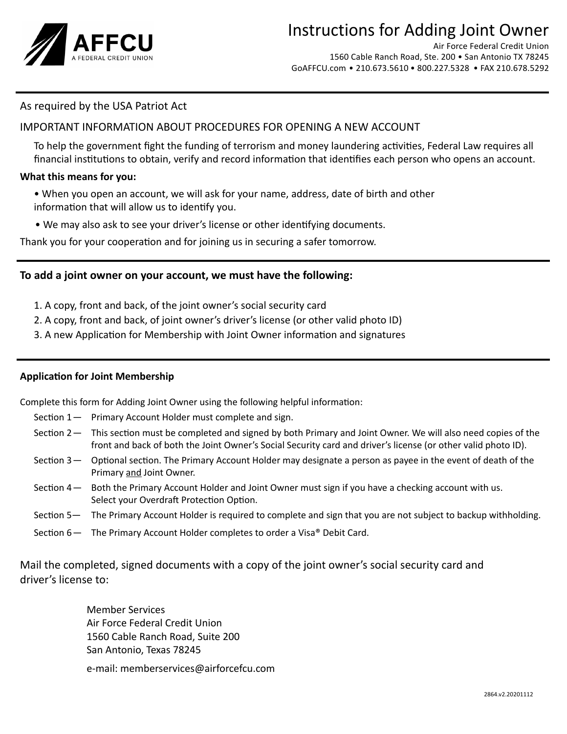

# Instructions for Adding Joint Owner

Air Force Federal Credit Union 1560 Cable Ranch Road, Ste. 200 • San Antonio TX 78245 GoAFFCU.com • 210.673.5610 • 800.227.5328 • FAX 210.678.5292

## As required by the USA Patriot Act

## IMPORTANT INFORMATION ABOUT PROCEDURES FOR OPENING A NEW ACCOUNT

 To help the government fight the funding of terrorism and money laundering activities, Federal Law requires all financial institutions to obtain, verify and record information that identifies each person who opens an account.

### **What this means for you:**

- When you open an account, we will ask for your name, address, date of birth and other information that will allow us to identify you.
- We may also ask to see your driver's license or other identifying documents.

Thank you for your cooperation and for joining us in securing a safer tomorrow.

## **To add a joint owner on your account, we must have the following:**

- 1. A copy, front and back, of the joint owner's social security card
- 2. A copy, front and back, of joint owner's driver's license (or other valid photo ID)
- 3. A new Application for Membership with Joint Owner information and signatures

### **Application for Joint Membership**

Complete this form for Adding Joint Owner using the following helpful information:

- Section 1 Primary Account Holder must complete and sign.
- Section 2 This section must be completed and signed by both Primary and Joint Owner. We will also need copies of the front and back of both the Joint Owner's Social Security card and driver's license (or other valid photo ID).
- Section 3 Optional section. The Primary Account Holder may designate a person as payee in the event of death of the Primary and Joint Owner.
- Section 4 Both the Primary Account Holder and Joint Owner must sign if you have a checking account with us. Select your Overdraft Protection Option.
- Section 5— The Primary Account Holder is required to complete and sign that you are not subject to backup withholding.
- Section  $6$  The Primary Account Holder completes to order a Visa<sup>®</sup> Debit Card.

Mail the completed, signed documents with a copy of the joint owner's social security card and driver's license to:

> Member Services Air Force Federal Credit Union 1560 Cable Ranch Road, Suite 200 San Antonio, Texas 78245

 e-mail: memberservices@airforcefcu.com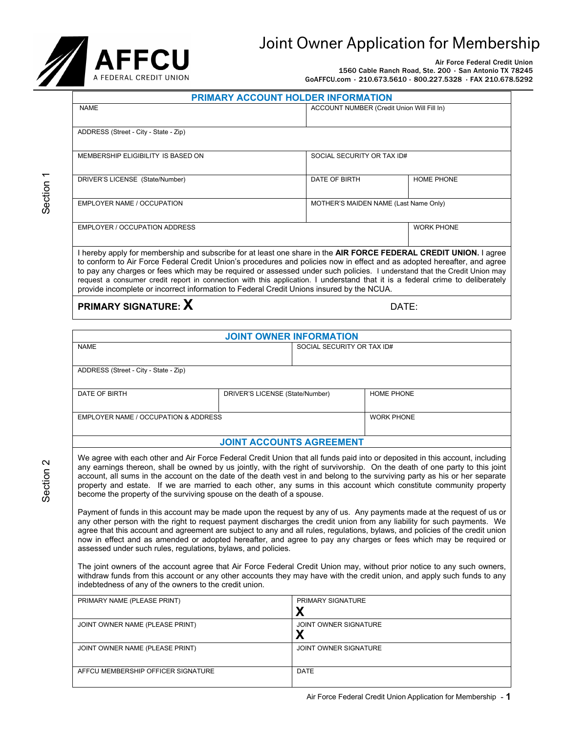# Joint Owner Application for Membership



Air Force Federal Credit Union 1560 Cable Ranch Road, Ste. 200 • San Antonio TX 78245 GoAFFCU.com • 210.673.5610 • 800.227.5328 • FAX 210.678.5292

|--|

| <b>NAME</b>                                                                                                                                                                                                                                                                                                                                                                                                                                                                                                                                                                                             | ACCOUNT NUMBER (Credit Union Will Fill In) |                   |  |
|---------------------------------------------------------------------------------------------------------------------------------------------------------------------------------------------------------------------------------------------------------------------------------------------------------------------------------------------------------------------------------------------------------------------------------------------------------------------------------------------------------------------------------------------------------------------------------------------------------|--------------------------------------------|-------------------|--|
| ADDRESS (Street - City - State - Zip)                                                                                                                                                                                                                                                                                                                                                                                                                                                                                                                                                                   |                                            |                   |  |
| MEMBERSHIP ELIGIBILITY IS BASED ON                                                                                                                                                                                                                                                                                                                                                                                                                                                                                                                                                                      | SOCIAL SECURITY OR TAX ID#                 |                   |  |
| DRIVER'S LICENSE (State/Number)                                                                                                                                                                                                                                                                                                                                                                                                                                                                                                                                                                         | DATE OF BIRTH                              | <b>HOME PHONE</b> |  |
| EMPLOYER NAME / OCCUPATION                                                                                                                                                                                                                                                                                                                                                                                                                                                                                                                                                                              | MOTHER'S MAIDEN NAME (Last Name Only)      |                   |  |
| EMPLOYER / OCCUPATION ADDRESS                                                                                                                                                                                                                                                                                                                                                                                                                                                                                                                                                                           |                                            | <b>WORK PHONE</b> |  |
| I hereby apply for membership and subscribe for at least one share in the AIR FORCE FEDERAL CREDIT UNION. I agree<br>to conform to Air Force Federal Credit Union's procedures and policies now in effect and as adopted hereafter, and agree<br>to pay any charges or fees which may be required or assessed under such policies. I understand that the Credit Union may<br>request a consumer credit report in connection with this application. I understand that it is a federal crime to deliberately<br>provide incomplete or incorrect information to Federal Credit Unions insured by the NCUA. |                                            |                   |  |
| <b>PRIMARY SIGNATURE:</b> X<br>DATE:                                                                                                                                                                                                                                                                                                                                                                                                                                                                                                                                                                    |                                            |                   |  |

**JOINT OWNER INFORMATION** NAME SOCIAL SECURITY OR TAX ID# ADDRESS (Street - City - State - Zip) DATE OF BIRTH **DRIVER'S LICENSE** (State/Number) HOME PHONE WORK PHONE **JOINT ACCOUNTS AGREEMENT** EMPLOYER NAME / OCCUPATION & ADDRESS

We agree with each other and Air Force Federal Credit Union that all funds paid into or deposited in this account, including any earnings thereon, shall be owned by us jointly, with the right of survivorship. On the death of one party to this joint account, all sums in the account on the date of the death vest in and belong to the surviving party as his or her separate property and estate. If we are married to each other, any sums in this account which constitute community property become the property of the surviving spouse on the death of a spouse.

Payment of funds in this account may be made upon the request by any of us. Any payments made at the request of us or any other person with the right to request payment discharges the credit union from any liability for such payments. We agree that this account and agreement are subject to any and all rules, regulations, bylaws, and policies of the credit union now in effect and as amended or adopted hereafter, and agree to pay any charges or fees which may be required or assessed under such rules, regulations, bylaws, and policies.

The joint owners of the account agree that Air Force Federal Credit Union may, without prior notice to any such owners, withdraw funds from this account or any other accounts they may have with the credit union, and apply such funds to any indebtedness of any of the owners to the credit union.

| PRIMARY NAME (PLEASE PRINT)        | <b>PRIMARY SIGNATURE</b><br>Χ |
|------------------------------------|-------------------------------|
| JOINT OWNER NAME (PLEASE PRINT)    | JOINT OWNER SIGNATURE<br>Χ    |
| JOINT OWNER NAME (PLEASE PRINT)    | JOINT OWNER SIGNATURE         |
| AFFCU MEMBERSHIP OFFICER SIGNATURE | DATE                          |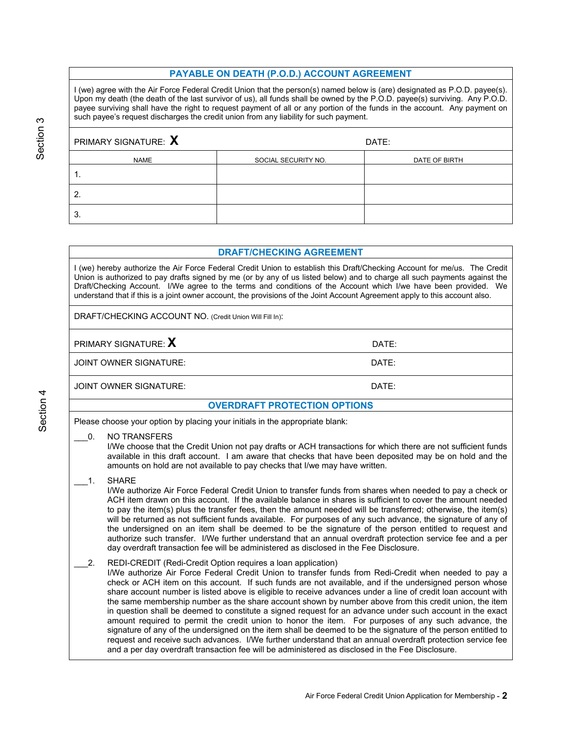### **PAYABLE ON DEATH (P.O.D.) ACCOUNT AGREEMENT**

I (we) agree with the Air Force Federal Credit Union that the person(s) named below is (are) designated as P.O.D. payee(s). Upon my death (the death of the last survivor of us), all funds shall be owned by the P.O.D. payee(s) surviving. Any P.O.D. payee surviving shall have the right to request payment of all or any portion of the funds in the account. Any payment on such payee's request discharges the credit union from any liability for such payment.

| PRIMARY SIGNATURE: $\bm{X}$ |                     | DATE:         |
|-----------------------------|---------------------|---------------|
| <b>NAME</b>                 | SOCIAL SECURITY NO. | DATE OF BIRTH |
|                             |                     |               |
| $\overline{2}$              |                     |               |
| 3.                          |                     |               |

#### **DRAFT/CHECKING AGREEMENT**

I (we) hereby authorize the Air Force Federal Credit Union to establish this Draft/Checking Account for me/us. The Credit Union is authorized to pay drafts signed by me (or by any of us listed below) and to charge all such payments against the Draft/Checking Account. I/We agree to the terms and conditions of the Account which I/we have been provided. We understand that if this is a joint owner account, the provisions of the Joint Account Agreement apply to this account also.

DRAFT/CHECKING ACCOUNT NO. (Credit Union Will Fill In):

### **PRIMARY SIGNATURE: X** DATE:

JOINT OWNER SIGNATURE: DATE:

JOINT OWNER SIGNATURE: DATE:

### **OVERDRAFT PROTECTION OPTIONS**

Please choose your option by placing your initials in the appropriate blank:

\_\_\_0. NO TRANSFERS

I/We choose that the Credit Union not pay drafts or ACH transactions for which there are not sufficient funds available in this draft account. I am aware that checks that have been deposited may be on hold and the amounts on hold are not available to pay checks that I/we may have written.

1. SHARE

I/We authorize Air Force Federal Credit Union to transfer funds from shares when needed to pay a check or ACH item drawn on this account. If the available balance in shares is sufficient to cover the amount needed to pay the item(s) plus the transfer fees, then the amount needed will be transferred; otherwise, the item(s) will be returned as not sufficient funds available. For purposes of any such advance, the signature of any of the undersigned on an item shall be deemed to be the signature of the person entitled to request and authorize such transfer. I/We further understand that an annual overdraft protection service fee and a per day overdraft transaction fee will be administered as disclosed in the Fee Disclosure.

#### 2. REDI-CREDIT (Redi-Credit Option requires a loan application)

I/We authorize Air Force Federal Credit Union to transfer funds from Redi-Credit when needed to pay a check or ACH item on this account. If such funds are not available, and if the undersigned person whose share account number is listed above is eligible to receive advances under a line of credit loan account with the same membership number as the share account shown by number above from this credit union, the item in question shall be deemed to constitute a signed request for an advance under such account in the exact amount required to permit the credit union to honor the item. For purposes of any such advance, the signature of any of the undersigned on the item shall be deemed to be the signature of the person entitled to request and receive such advances. I/We further understand that an annual overdraft protection service fee and a per day overdraft transaction fee will be administered as disclosed in the Fee Disclosure.